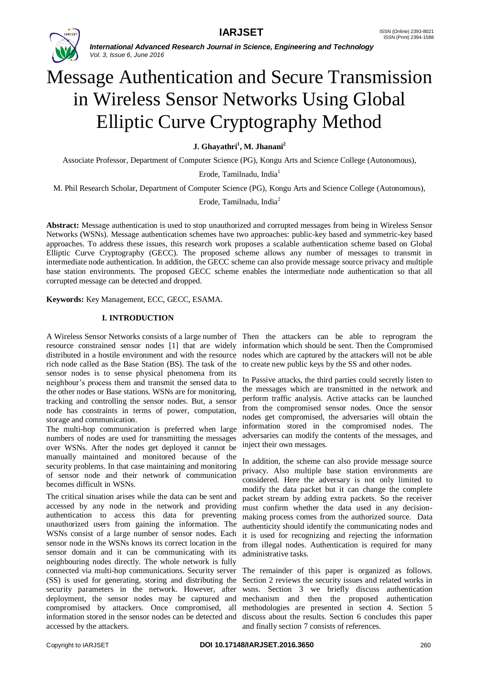

# Message Authentication and Secure Transmission in Wireless Sensor Networks Using Global Elliptic Curve Cryptography Method

**J. Ghayathri<sup>1</sup> , M. Jhanani<sup>2</sup>**

Associate Professor, Department of Computer Science (PG), Kongu Arts and Science College (Autonomous),

Erode, Tamilnadu, India<sup>1</sup>

M. Phil Research Scholar, Department of Computer Science (PG), Kongu Arts and Science College (Autonomous),

Erode, Tamilnadu, India<sup>2</sup>

**Abstract:** Message authentication is used to stop unauthorized and corrupted messages from being in Wireless Sensor Networks (WSNs). Message authentication schemes have two approaches: public-key based and symmetric-key based approaches. To address these issues, this research work proposes a scalable authentication scheme based on Global Elliptic Curve Cryptography (GECC). The proposed scheme allows any number of messages to transmit in intermediate node authentication. In addition, the GECC scheme can also provide message source privacy and multiple base station environments. The proposed GECC scheme enables the intermediate node authentication so that all corrupted message can be detected and dropped.

**Keywords:** Key Management, ECC, GECC, ESAMA.

### **I. INTRODUCTION**

A Wireless Sensor Networks consists of a large number of Then the attackers can be able to reprogram the resource constrained sensor nodes [1] that are widely information which should be sent. Then the Compromised distributed in a hostile environment and with the resource nodes which are captured by the attackers will not be able rich node called as the Base Station (BS). The task of the to create new public keys by the SS and other nodes. sensor nodes is to sense physical phenomena from its neighbour"s process them and transmit the sensed data to the other nodes or Base stations. WSNs are for monitoring, tracking and controlling the sensor nodes. But, a sensor node has constraints in terms of power, computation, storage and communication.

The multi-hop communication is preferred when large numbers of nodes are used for transmitting the messages over WSNs. After the nodes get deployed it cannot be manually maintained and monitored because of the security problems. In that case maintaining and monitoring of sensor node and their network of communication becomes difficult in WSNs.

The critical situation arises while the data can be sent and accessed by any node in the network and providing authentication to access this data for preventing unauthorized users from gaining the information. The WSNs consist of a large number of sensor nodes. Each sensor node in the WSNs knows its correct location in the sensor domain and it can be communicating with its neighbouring nodes directly. The whole network is fully connected via multi-hop communications. Security server The remainder of this paper is organized as follows. (SS) is used for generating, storing and distributing the security parameters in the network. However, after deployment, the sensor nodes may be captured and compromised by attackers. Once compromised, all information stored in the sensor nodes can be detected and accessed by the attackers.

In Passive attacks, the third parties could secretly listen to the messages which are transmitted in the network and perform traffic analysis. Active attacks can be launched from the compromised sensor nodes. Once the sensor nodes get compromised, the adversaries will obtain the information stored in the compromised nodes. The adversaries can modify the contents of the messages, and inject their own messages.

In addition, the scheme can also provide message source privacy. Also multiple base station environments are considered. Here the adversary is not only limited to modify the data packet but it can change the complete packet stream by adding extra packets. So the receiver must confirm whether the data used in any decisionmaking process comes from the authorized source. Data authenticity should identify the communicating nodes and it is used for recognizing and rejecting the information from illegal nodes. Authentication is required for many administrative tasks.

Section 2 reviews the security issues and related works in wsns. Section 3 we briefly discuss authentication mechanism and then the proposed authentication methodologies are presented in section 4. Section 5 discuss about the results. Section 6 concludes this paper and finally section 7 consists of references.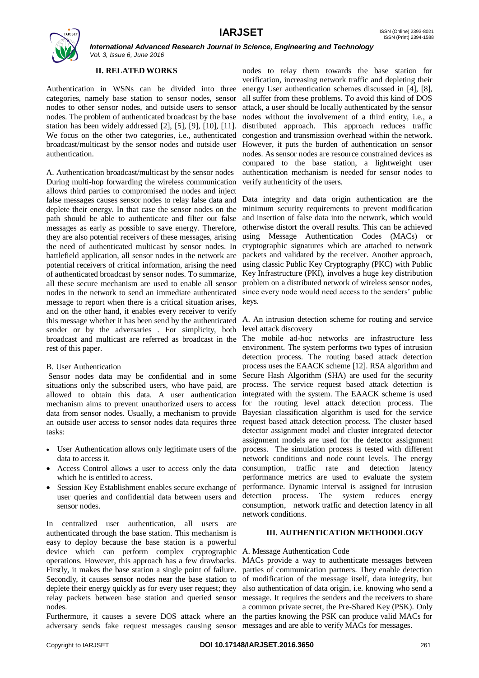

# **II. RELATED WORKS**

Authentication in WSNs can be divided into three categories, namely base station to sensor nodes, sensor nodes to other sensor nodes, and outside users to sensor nodes. The problem of authenticated broadcast by the base station has been widely addressed [2], [5], [9], [10], [11]. We focus on the other two categories, i.e., authenticated broadcast/multicast by the sensor nodes and outside user authentication.

A. Authentication broadcast/multicast by the sensor nodes During multi-hop forwarding the wireless communication allows third parties to compromised the nodes and inject false messages causes sensor nodes to relay false data and Data integrity and data origin authentication are the deplete their energy. In that case the sensor nodes on the minimum security requirements to prevent modification path should be able to authenticate and filter out false messages as early as possible to save energy. Therefore, they are also potential receivers of these messages, arising the need of authenticated multicast by sensor nodes. In battlefield application, all sensor nodes in the network are potential receivers of critical information, arising the need of authenticated broadcast by sensor nodes. To summarize, all these secure mechanism are used to enable all sensor nodes in the network to send an immediate authenticated message to report when there is a critical situation arises, and on the other hand, it enables every receiver to verify this message whether it has been send by the authenticated sender or by the adversaries . For simplicity, both broadcast and multicast are referred as broadcast in the rest of this paper.

### B. User Authentication

Sensor nodes data may be confidential and in some situations only the subscribed users, who have paid, are allowed to obtain this data. A user authentication mechanism aims to prevent unauthorized users to access data from sensor nodes. Usually, a mechanism to provide an outside user access to sensor nodes data requires three tasks:

- User Authentication allows only legitimate users of the data to access it.
- Access Control allows a user to access only the data which he is entitled to access.
- Session Key Establishment enables secure exchange of user queries and confidential data between users and sensor nodes.

In centralized user authentication, all users are authenticated through the base station. This mechanism is easy to deploy because the base station is a powerful device which can perform complex cryptographic A. Message Authentication Code operations. However, this approach has a few drawbacks. Firstly, it makes the base station a single point of failure. Secondly, it causes sensor nodes near the base station to of modification of the message itself, data integrity, but deplete their energy quickly as for every user request; they also authentication of data origin, i.e. knowing who send a relay packets between base station and queried sensor message. It requires the senders and the receivers to share nodes.

adversary sends fake request messages causing sensor messages and are able to verify MACs for messages.

nodes to relay them towards the base station for verification, increasing network traffic and depleting their energy User authentication schemes discussed in [4], [8], all suffer from these problems. To avoid this kind of DOS attack, a user should be locally authenticated by the sensor nodes without the involvement of a third entity, i.e., a distributed approach. This approach reduces traffic congestion and transmission overhead within the network. However, it puts the burden of authentication on sensor nodes. As sensor nodes are resource constrained devices as compared to the base station, a lightweight user authentication mechanism is needed for sensor nodes to verify authenticity of the users.

and insertion of false data into the network, which would otherwise distort the overall results. This can be achieved using Message Authentication Codes (MACs) or cryptographic signatures which are attached to network packets and validated by the receiver. Another approach, using classic Public Key Cryptography (PKC) with Public Key Infrastructure (PKI), involves a huge key distribution problem on a distributed network of wireless sensor nodes, since every node would need access to the senders' public keys.

A. An intrusion detection scheme for routing and service level attack discovery

The mobile ad-hoc networks are infrastructure less environment. The system performs two types of intrusion detection process. The routing based attack detection process uses the EAACK scheme [12]. RSA algorithm and Secure Hash Algorithm (SHA) are used for the security process. The service request based attack detection is integrated with the system. The EAACK scheme is used for the routing level attack detection process. The Bayesian classification algorithm is used for the service request based attack detection process. The cluster based detector assignment model and cluster integrated detector assignment models are used for the detector assignment process. The simulation process is tested with different network conditions and node count levels. The energy consumption, traffic rate and detection latency performance metrics are used to evaluate the system performance. Dynamic interval is assigned for intrusion detection process. The system reduces energy consumption, network traffic and detection latency in all network conditions.

### **III. AUTHENTICATION METHODOLOGY**

Furthermore, it causes a severe DOS attack where an the parties knowing the PSK can produce valid MACs for MACs provide a way to authenticate messages between parties of communication partners. They enable detection a common private secret, the Pre-Shared Key (PSK). Only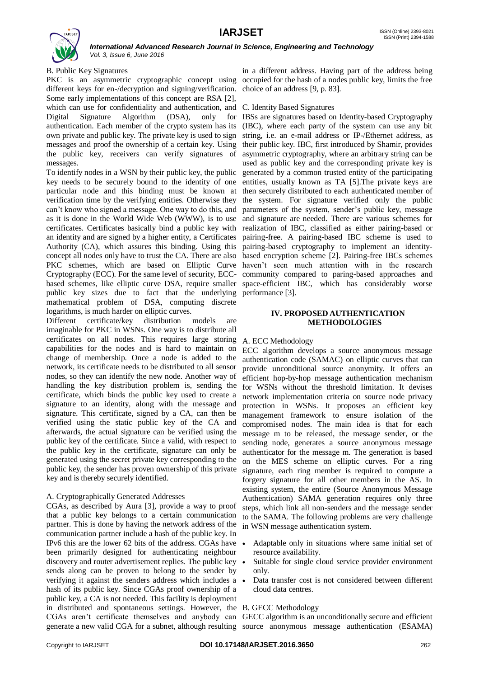

### B. Public Key Signatures

PKC is an asymmetric cryptographic concept using occupied for the hash of a nodes public key, limits the free different keys for en-/decryption and signing/verification. choice of an address [9, p. 83]. Some early implementations of this concept are RSA [2], which can use for confidentiality and authentication, and C. Identity Based Signatures Digital Signature Algorithm (DSA), only for IBSs are signatures based on Identity-based Cryptography authentication. Each member of the crypto system has its own private and public key. The private key is used to sign messages and proof the ownership of a certain key. Using their public key. IBC, first introduced by Shamir, provides the public key, receivers can verify signatures of messages.

To identify nodes in a WSN by their public key, the public key needs to be securely bound to the identity of one entities, usually known as TA [5].The private keys are particular node and this binding must be known at then securely distributed to each authenticated member of verification time by the verifying entities. Otherwise they the system. For signature verified only the public can't know who signed a message. One way to do this, and parameters of the system, sender's public key, message as it is done in the World Wide Web (WWW), is to use and signature are needed. There are various schemes for certificates. Certificates basically bind a public key with realization of IBC, classified as either pairing-based or an identity and are signed by a higher entity, a Certificates pairing-free. A pairing-based IBC scheme is used to Authority (CA), which assures this binding. Using this pairing-based cryptography to implement an identityconcept all nodes only have to trust the CA. There are also based encryption scheme [2]. Pairing-free IBCs schemes PKC schemes, which are based on Elliptic Curve haven"t seen much attention with in the research Cryptography (ECC). For the same level of security, ECC-community compared to paring-based approaches and based schemes, like elliptic curve DSA, require smaller space-efficient IBC, which has considerably worse public key sizes due to fact that the underlying performance [3]. mathematical problem of DSA, computing discrete logarithms, is much harder on elliptic curves.

Different certificate/key distribution models are imaginable for PKC in WSNs. One way is to distribute all certificates on all nodes. This requires large storing A. ECC Methodology capabilities for the nodes and is hard to maintain on change of membership. Once a node is added to the network, its certificate needs to be distributed to all sensor nodes, so they can identify the new node. Another way of handling the key distribution problem is, sending the certificate, which binds the public key used to create a signature to an identity, along with the message and signature. This certificate, signed by a CA, can then be verified using the static public key of the CA and afterwards, the actual signature can be verified using the public key of the certificate. Since a valid, with respect to the public key in the certificate, signature can only be generated using the secret private key corresponding to the public key, the sender has proven ownership of this private key and is thereby securely identified.

### A. Cryptographically Generated Addresses

CGAs, as described by Aura [3], provide a way to proof that a public key belongs to a certain communication partner. This is done by having the network address of the communication partner include a hash of the public key. In IPv6 this are the lower 62 bits of the address. CGAs have been primarily designed for authenticating neighbour discovery and router advertisement replies. The public key sends along can be proven to belong to the sender by verifying it against the senders address which includes a hash of its public key. Since CGAs proof ownership of a public key, a CA is not needed. This facility is deployment in distributed and spontaneous settings. However, the B. GECC Methodology CGAs aren"t certificate themselves and anybody can GECC algorithm is an unconditionally secure and efficient generate a new valid CGA for a subnet, although resulting source anonymous message authentication (ESAMA)

in a different address. Having part of the address being

(IBC), where each party of the system can use any bit string, i.e. an e-mail address or IP-/Ethernet address, as asymmetric cryptography, where an arbitrary string can be used as public key and the corresponding private key is generated by a common trusted entity of the participating

### **IV. PROPOSED AUTHENTICATION METHODOLOGIES**

ECC algorithm develops a source anonymous message authentication code (SAMAC) on elliptic curves that can provide unconditional source anonymity. It offers an efficient hop-by-hop message authentication mechanism for WSNs without the threshold limitation. It devises network implementation criteria on source node privacy protection in WSNs. It proposes an efficient key management framework to ensure isolation of the compromised nodes. The main idea is that for each message m to be released, the message sender, or the sending node, generates a source anonymous message authenticator for the message m. The generation is based on the MES scheme on elliptic curves. For a ring signature, each ring member is required to compute a forgery signature for all other members in the AS. In existing system, the entire (Source Anonymous Message Authentication) SAMA generation requires only three steps, which link all non-senders and the message sender to the SAMA. The following problems are very challenge in WSN message authentication system.

- Adaptable only in situations where same initial set of resource availability.
- Suitable for single cloud service provider environment only.
- Data transfer cost is not considered between different cloud data centres.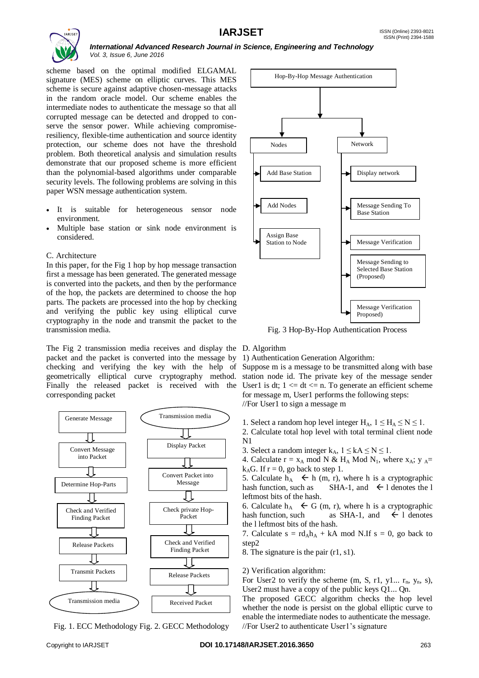

scheme based on the optimal modified ELGAMAL signature (MES) scheme on elliptic curves. This MES scheme is secure against adaptive chosen-message attacks in the random oracle model. Our scheme enables the intermediate nodes to authenticate the message so that all corrupted message can be detected and dropped to conserve the sensor power. While achieving compromiseresiliency, flexible-time authentication and source identity protection, our scheme does not have the threshold problem. Both theoretical analysis and simulation results demonstrate that our proposed scheme is more efficient than the polynomial-based algorithms under comparable security levels. The following problems are solving in this paper WSN message authentication system.

- It is suitable for heterogeneous sensor node environment.
- Multiple base station or sink node environment is considered.

### C. Architecture

In this paper, for the Fig 1 hop by hop message transaction first a message has been generated. The generated message is converted into the packets, and then by the performance of the hop, the packets are determined to choose the hop parts. The packets are processed into the hop by checking and verifying the public key using elliptical curve cryptography in the node and transmit the packet to the transmission media.

The Fig 2 transmission media receives and display the D. Algorithm packet and the packet is converted into the message by 1) Authentication Generation Algorithm: checking and verifying the key with the help of Suppose m is a message to be transmitted along with base geometrically elliptical curve cryptography method. station node id. The private key of the message sender Finally the released packet is received with the User1 is dt;  $1 \leq d \leq n$ . To generate an efficient scheme corresponding packet



Fig. 1. ECC Methodology Fig. 2. GECC Methodology



Fig. 3 Hop-By-Hop Authentication Process

for message m, User1 performs the following steps: //For User1 to sign a message m

1. Select a random hop level integer  $H_A$ ,  $1 \leq H_A \leq N \leq 1$ .

2. Calculate total hop level with total terminal client node N1

3. Select a random integer  $k_A$ ,  $1 \leq kA \leq N \leq 1$ .

4. Calculate  $r = x_A \mod N \& H_A \mod N_1$ , where  $x_A$ ;  $y_A =$  $k_A$ G. If  $r = 0$ , go back to step 1.

5. Calculate  $h_A \leftarrow h$  (m, r), where h is a cryptographic hash function, such as SHA-1, and  $\leftarrow$  1 denotes the l leftmost bits of the hash.

6. Calculate  $h_A \leftarrow G$  (m, r), where h is a cryptographic hash function, such as SHA-1, and  $\leftarrow$  1 denotes the l leftmost bits of the hash.

7. Calculate  $s = rd_Ah_A + kA \text{ mod } N$ . If  $s = 0$ , go back to step2

8. The signature is the pair (r1, s1).

2) Verification algorithm:

For User2 to verify the scheme  $(m, S, r1, y1... r_n, y_n, s)$ , User2 must have a copy of the public keys Q1... Qn.

The proposed GECC algorithm checks the hop level whether the node is persist on the global elliptic curve to enable the intermediate nodes to authenticate the message. //For User2 to authenticate User1"s signature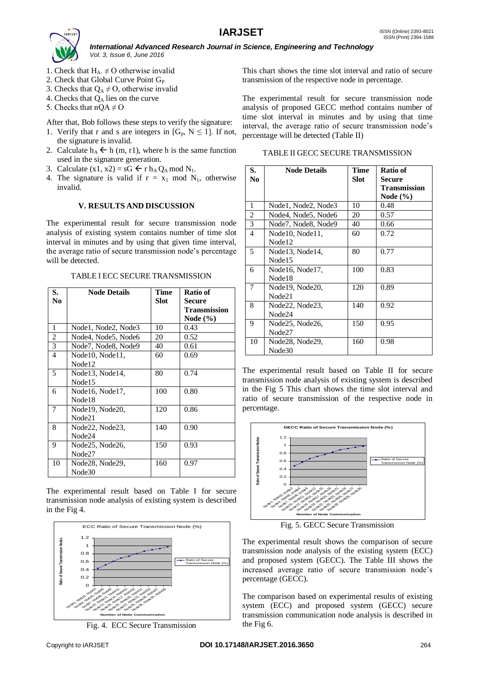

- 1. Check that  $H_A$ .  $\neq$  O otherwise invalid
- 2. Check that Global Curve Point G<sub>P</sub>
- 3. Checks that  $Q_A \neq O$ , otherwise invalid
- 4. Checks that  $Q_A$  lies on the curve
- 5. Checks that  $nQA \neq O$

After that, Bob follows these steps to verify the signature:

- 1. Verify that r and s are integers in  $[G_p, N \leq 1]$ . If not, the signature is invalid.
- 2. Calculate  $h_A \leftarrow h$  (m, r1), where h is the same function used in the signature generation.
- 3. Calculate  $(x1, x2) = sG \leftarrow r h_A Q_A \text{ mod } N_1$ .
- 4. The signature is valid if  $r = x_1 \mod N_1$ , otherwise invalid.

### **V. RESULTS AND DISCUSSION**

The experimental result for secure transmission node analysis of existing system contains number of time slot interval in minutes and by using that given time interval, the average ratio of secure transmission node"s percentage will be detected.

TABLE I ECC SECURE TRANSMISSION

| S.             | <b>Node Details</b> | Time | Ratio of            |
|----------------|---------------------|------|---------------------|
| No             |                     | Slot | <b>Secure</b>       |
|                |                     |      | <b>Transmission</b> |
|                |                     |      | Node $(\% )$        |
| 1              | Node1, Node2, Node3 | 10   | 0.43                |
| $\overline{c}$ | Node4, Node5, Node6 | 20   | 0.52                |
| 3              | Node7, Node8, Node9 | 40   | 0.61                |
| 4              | Node10, Node11,     | 60   | 0.69                |
|                | Node <sub>12</sub>  |      |                     |
| 5              | Node13, Node14,     | 80   | 0.74                |
|                | Node <sub>15</sub>  |      |                     |
| 6              | Node16, Node17,     | 100  | 0.80                |
|                | Node <sub>18</sub>  |      |                     |
| 7              | Node19, Node20,     | 120  | 0.86                |
|                | Node21              |      |                     |
| 8              | Node22, Node23,     | 140  | 0.90                |
|                | Node24              |      |                     |
| 9              | Node25, Node26,     | 150  | 0.93                |
|                | Node27              |      |                     |
| 10             | Node28, Node29,     | 160  | 0.97                |
|                | Node30              |      |                     |

The experimental result based on Table I for secure transmission node analysis of existing system is described in the Fig 4.



Fig. 4. ECC Secure Transmission

This chart shows the time slot interval and ratio of secure transmission of the respective node in percentage.

The experimental result for secure transmission node analysis of proposed GECC method contains number of time slot interval in minutes and by using that time interval, the average ratio of secure transmission node"s percentage will be detected (Table II)

| TABLE II GECC SECURE TRANSMISSION |  |  |
|-----------------------------------|--|--|
|                                   |  |  |

| S.<br>N <sub>0</sub> | <b>Node Details</b> | Time<br>Slot | Ratio of                      |
|----------------------|---------------------|--------------|-------------------------------|
|                      |                     |              | Secure<br><b>Transmission</b> |
|                      |                     |              | Node $(\% )$                  |
| 1                    | Node1, Node2, Node3 | 10           | 0.48                          |
| $\overline{2}$       | Node4, Node5, Node6 | 20           | 0.57                          |
| 3                    | Node7, Node8, Node9 | 40           | 0.66                          |
| $\overline{4}$       | Node10, Node11,     | 60           | 0.72                          |
|                      | Node12              |              |                               |
| 5                    | Node13, Node14,     | 80           | 0.77                          |
|                      | Node <sub>15</sub>  |              |                               |
| 6                    | Node16, Node17,     | 100          | 0.83                          |
|                      | Node <sub>18</sub>  |              |                               |
| 7                    | Node19, Node20,     | 120          | 0.89                          |
|                      | Node21              |              |                               |
| 8                    | Node22, Node23,     | 140          | 0.92                          |
|                      | Node24              |              |                               |
| 9                    | Node25, Node26,     | 150          | 0.95                          |
|                      | Node27              |              |                               |
| 10                   | Node28, Node29,     | 160          | 0.98                          |
|                      | Node30              |              |                               |

The experimental result based on Table II for secure transmission node analysis of existing system is described in the Fig 5 This chart shows the time slot interval and ratio of secure transmission of the respective node in percentage.



Fig. 5. GECC Secure Transmission

The experimental result shows the comparison of secure transmission node analysis of the existing system (ECC) and proposed system (GECC). The Table III shows the increased average ratio of secure transmission node"s percentage (GECC).

The comparison based on experimental results of existing system (ECC) and proposed system (GECC) secure transmission communication node analysis is described in the Fig 6.